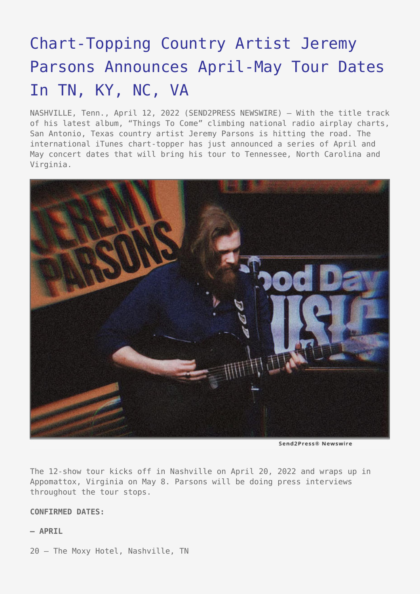## [Chart-Topping Country Artist Jeremy](https://www.send2press.com/wire/chart-topping-country-artist-jeremy-parsons-announces-april-may-tour-dates-in-tn-ky-nc-va/) [Parsons Announces April-May Tour Dates](https://www.send2press.com/wire/chart-topping-country-artist-jeremy-parsons-announces-april-may-tour-dates-in-tn-ky-nc-va/) [In TN, KY, NC, VA](https://www.send2press.com/wire/chart-topping-country-artist-jeremy-parsons-announces-april-may-tour-dates-in-tn-ky-nc-va/)

NASHVILLE, Tenn., April 12, 2022 (SEND2PRESS NEWSWIRE) — With the title track of his latest album, "Things To Come" climbing national radio airplay charts, San Antonio, Texas country artist Jeremy Parsons is hitting the road. The international iTunes chart-topper has just announced a series of April and May concert dates that will bring his tour to Tennessee, North Carolina and Virginia.



Send2Press® Newswire

The 12-show tour kicks off in Nashville on April 20, 2022 and wraps up in Appomattox, Virginia on May 8. Parsons will be doing press interviews throughout the tour stops.

## **CONFIRMED DATES:**

## **— APRIL**

20 – The Moxy Hotel, Nashville, TN